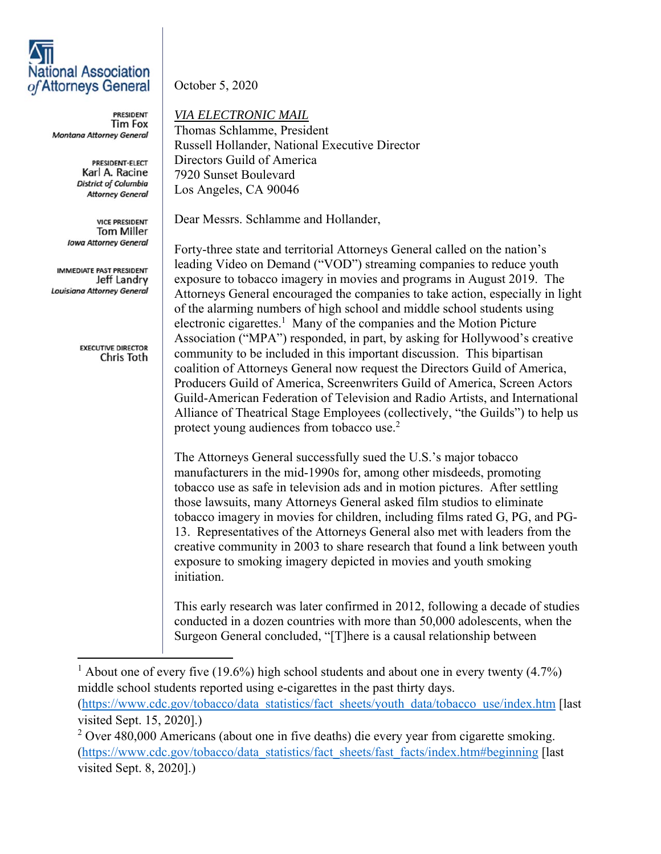## **National Association** of Attorneys General

**PRESIDENT Tim Fox** Montana Attorney General

> PRESIDENT-ELECT Karl A. Racine **District of Columbia Attorney General**

**VICE PRESIDENT Tom Miller Iowa Attorney General** 

IMMEDIATE PAST PRESIDENT Jeff Landry Louisiana Attorney General

> **EXECUTIVE DIRECTOR** Chris Toth

October 5, 2020

*VIA ELECTRONIC MAIL* 

Thomas Schlamme, President Russell Hollander, National Executive Director Directors Guild of America 7920 Sunset Boulevard Los Angeles, CA 90046

Dear Messrs. Schlamme and Hollander,

Forty-three state and territorial Attorneys General called on the nation's leading Video on Demand ("VOD") streaming companies to reduce youth exposure to tobacco imagery in movies and programs in August 2019. The Attorneys General encouraged the companies to take action, especially in light of the alarming numbers of high school and middle school students using electronic cigarettes.<sup>1</sup> Many of the companies and the Motion Picture Association ("MPA") responded, in part, by asking for Hollywood's creative community to be included in this important discussion. This bipartisan coalition of Attorneys General now request the Directors Guild of America, Producers Guild of America, Screenwriters Guild of America, Screen Actors Guild-American Federation of Television and Radio Artists, and International Alliance of Theatrical Stage Employees (collectively, "the Guilds") to help us protect young audiences from tobacco use.<sup>2</sup>

The Attorneys General successfully sued the U.S.'s major tobacco manufacturers in the mid-1990s for, among other misdeeds, promoting tobacco use as safe in television ads and in motion pictures. After settling those lawsuits, many Attorneys General asked film studios to eliminate tobacco imagery in movies for children, including films rated G, PG, and PG-13. Representatives of the Attorneys General also met with leaders from the creative community in 2003 to share research that found a link between youth exposure to smoking imagery depicted in movies and youth smoking initiation.

This early research was later confirmed in 2012, following a decade of studies conducted in a dozen countries with more than 50,000 adolescents, when the Surgeon General concluded, "[T]here is a causal relationship between

<sup>1</sup> About one of every five (19.6%) high school students and about one in every twenty (4.7%) middle school students reported using e-cigarettes in the past thirty days. (https://www.cdc.gov/tobacco/data\_statistics/fact\_sheets/youth\_data/tobacco\_use/index.htm [last visited Sept. 15, 2020].)

 $2$  Over 480,000 Americans (about one in five deaths) die every year from cigarette smoking. (https://www.cdc.gov/tobacco/data\_statistics/fact\_sheets/fast\_facts/index.htm#beginning [last visited Sept. 8, 2020].)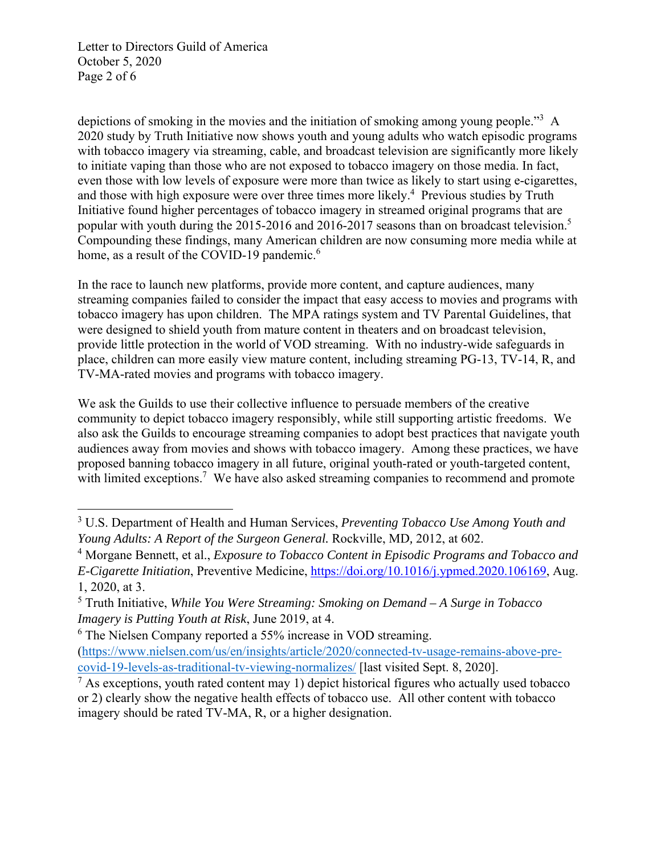Letter to Directors Guild of America October 5, 2020 Page 2 of 6

depictions of smoking in the movies and the initiation of smoking among young people."<sup>3</sup> A 2020 study by Truth Initiative now shows youth and young adults who watch episodic programs with tobacco imagery via streaming, cable, and broadcast television are significantly more likely to initiate vaping than those who are not exposed to tobacco imagery on those media. In fact, even those with low levels of exposure were more than twice as likely to start using e-cigarettes, and those with high exposure were over three times more likely.<sup>4</sup> Previous studies by Truth Initiative found higher percentages of tobacco imagery in streamed original programs that are popular with youth during the 2015-2016 and 2016-2017 seasons than on broadcast television.<sup>5</sup> Compounding these findings, many American children are now consuming more media while at home, as a result of the COVID-19 pandemic.<sup>6</sup>

In the race to launch new platforms, provide more content, and capture audiences, many streaming companies failed to consider the impact that easy access to movies and programs with tobacco imagery has upon children. The MPA ratings system and TV Parental Guidelines, that were designed to shield youth from mature content in theaters and on broadcast television, provide little protection in the world of VOD streaming. With no industry-wide safeguards in place, children can more easily view mature content, including streaming PG-13, TV-14, R, and TV-MA-rated movies and programs with tobacco imagery.

We ask the Guilds to use their collective influence to persuade members of the creative community to depict tobacco imagery responsibly, while still supporting artistic freedoms. We also ask the Guilds to encourage streaming companies to adopt best practices that navigate youth audiences away from movies and shows with tobacco imagery. Among these practices, we have proposed banning tobacco imagery in all future, original youth-rated or youth-targeted content, with limited exceptions.<sup>7</sup> We have also asked streaming companies to recommend and promote

<sup>3</sup> U.S. Department of Health and Human Services, *Preventing Tobacco Use Among Youth and Young Adults: A Report of the Surgeon General.* Rockville, MD*,* 2012, at 602.

<sup>&</sup>lt;sup>4</sup> Morgane Bennett, et al., *Exposure to Tobacco Content in Episodic Programs and Tobacco and E-Cigarette Initiation*, Preventive Medicine, https://doi.org/10.1016/j.ypmed.2020.106169, Aug. 1, 2020, at 3.

<sup>5</sup> Truth Initiative, *While You Were Streaming: Smoking on Demand – A Surge in Tobacco Imagery is Putting Youth at Risk*, June 2019, at 4.

<sup>&</sup>lt;sup>6</sup> The Nielsen Company reported a 55% increase in VOD streaming.

<sup>(</sup>https://www.nielsen.com/us/en/insights/article/2020/connected-tv-usage-remains-above-precovid-19-levels-as-traditional-tv-viewing-normalizes/ [last visited Sept. 8, 2020].

 $<sup>7</sup>$  As exceptions, youth rated content may 1) depict historical figures who actually used tobacco</sup> or 2) clearly show the negative health effects of tobacco use. All other content with tobacco imagery should be rated TV-MA, R, or a higher designation.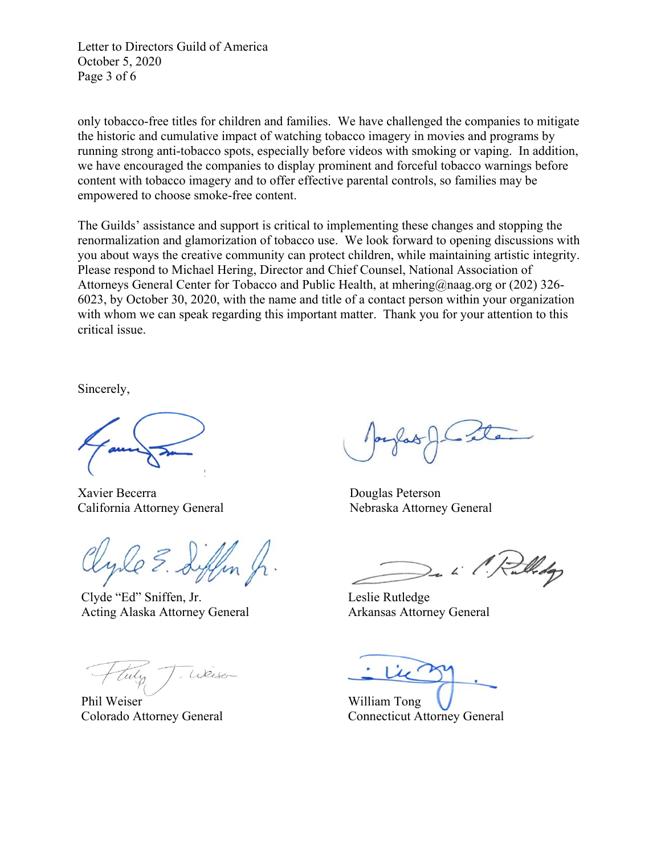Letter to Directors Guild of America October 5, 2020 Page 3 of 6

only tobacco-free titles for children and families. We have challenged the companies to mitigate the historic and cumulative impact of watching tobacco imagery in movies and programs by running strong anti-tobacco spots, especially before videos with smoking or vaping. In addition, we have encouraged the companies to display prominent and forceful tobacco warnings before content with tobacco imagery and to offer effective parental controls, so families may be empowered to choose smoke-free content.

The Guilds' assistance and support is critical to implementing these changes and stopping the renormalization and glamorization of tobacco use. We look forward to opening discussions with you about ways the creative community can protect children, while maintaining artistic integrity. Please respond to Michael Hering, Director and Chief Counsel, National Association of Attorneys General Center for Tobacco and Public Health, at mhering@naag.org or (202) 326- 6023, by October 30, 2020, with the name and title of a contact person within your organization with whom we can speak regarding this important matter. Thank you for your attention to this critical issue.

Sincerely,

Xavier Becerra Douglas Peterson California Attorney General Nebraska Attorney General

Clyde "Ed" Sniffen, Jr. Acting Alaska Attorney General

Weise

Phil Weiser Colorado Attorney General

Widop

Leslie Rutledge Arkansas Attorney General

William Tong Connecticut Attorney General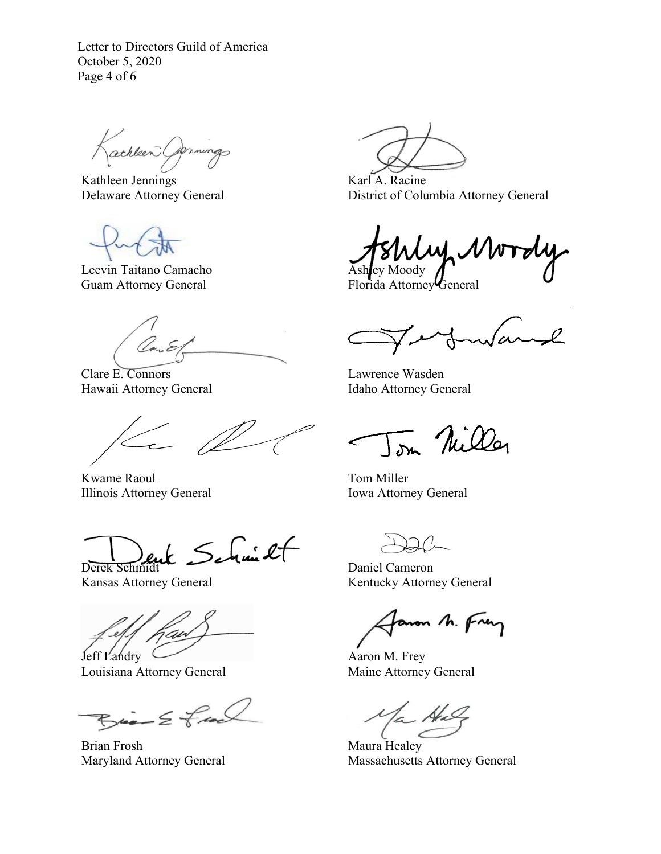Letter to Directors Guild of America October 5, 2020 Page 4 of 6

athleen Comings

Kathleen Jennings Delaware Attorney General

Leevin Taitano Camacho Guam Attorney General

Clare E. Connors Hawaii Attorney General

Kwame Raoul Illinois Attorney General

Derek Schmidt

Kansas Attorney General

Jeff Landry

Louisiana Attorney General

 $B_{\text{min}} \leq \frac{1}{2}$ 

Brian Frosh Maryland Attorney General

Karl A. Racine District of Columbia Attorney General

しへん Ashley Moody

Florida Attorney General

 $\sim$ l wa

Lawrence Wasden Idaho Attorney General

Tom Nilley

Tom Miller Iowa Attorney General

Daniel Cameron Kentucky Attorney General

aron M. Frey

Aaron M. Frey Maine Attorney General

 $2 - 14$ 

Maura Healey Massachusetts Attorney General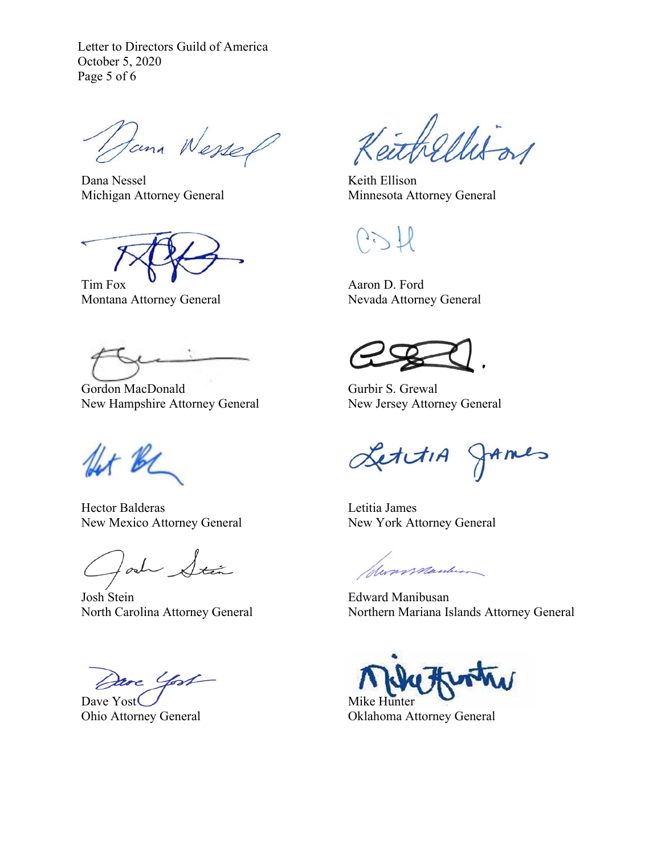Letter to Directors Guild of America October 5, 2020 Page 5 of 6

Dana Wessel

Dana Nessel Michigan Attorney General

Tim Fox

Montana Attorney General

Gordon MacDonald New Hampshire Attorney General

for be

Hector Balderas New Mexico Attorney General

lad Sta

Josh Stein North Carolina Attorney General

Dave Yost

Dave Yost Ohio Attorney General

thellison

Keith Ellison Minnesota Attorney General

Aaron D. Ford Nevada Attorney General

Gurbir S. Grewal New Jersey Attorney General

LettiA JAMES

Letitia James New York Attorney General

Sunsmander

Edward Manibusan Northern Mariana Islands Attorney General

Mike Hunter Oklahoma Attorney General